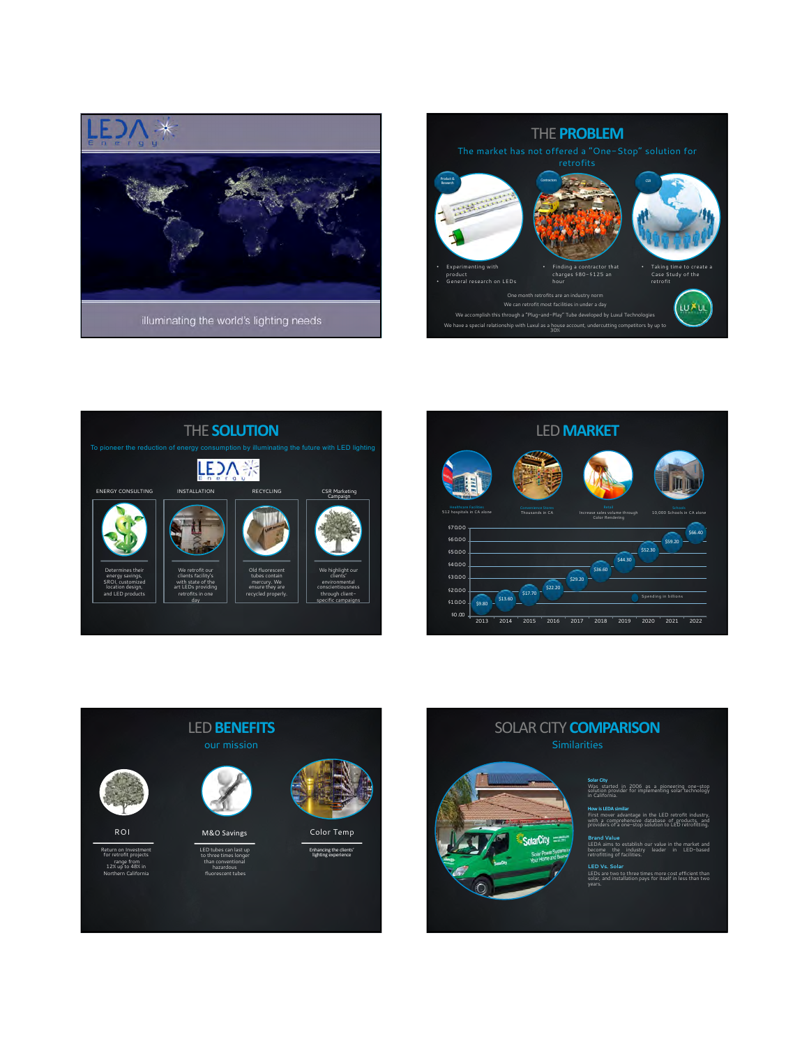









## **Solar City**<br>Was <sub>-</sub> started in 2006 as a pioneering one-stop<br>solution provider for implementing solar technology<br>in California. SOLAR CITY **COMPARISON**

**larCity** 

**How is LEDA similar** First mover advantage in the LED retrofit industry, with <sup>a</sup> comprehensive database of products, and providers of <sup>a</sup> one-stop solution to LED retrofitting.

**Brand Value** Ir value in the market and<br>leader in LED-based retrofitting of facilities.

**LED Vs. Solar** ree times more cost efficient than<br>on pays for itself in less than two